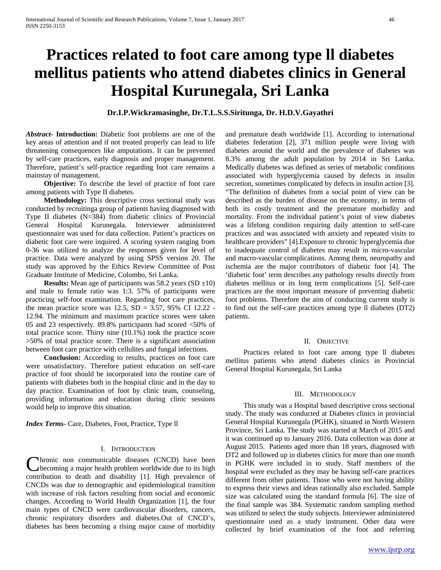# **Practices related to foot care among type ll diabetes mellitus patients who attend diabetes clinics in General Hospital Kurunegala, Sri Lanka**

## **Dr.I.P.Wickramasinghe, Dr.T.L.S.S.Siritunga, Dr. H.D.V.Gayathri**

*Abstract***- Introduction:** Diabetic foot problems are one of the key areas of attention and if not treated properly can lead to life threatening consequences like amputations. It can be prevented by self-care practices, early diagnosis and proper management. Therefore, patient's self-practice regarding foot care remains a mainstay of management.

 **Objective:** To describe the level of practice of foot care among patients with Type II diabetes.

 **Methodology:** This descriptive cross sectional study was conducted by recruitinga group of patients having diagnosed with Type II diabetes (N=384) from diabetic clinics of Provincial General Hospital Kurunegala. Interviewer administered questionnaire was used for data collection. Patient's practices on diabetic foot care were inquired. A scoring system ranging from 0-36 was utilized to analyze the responses given for level of practice. Data were analyzed by using SPSS version 20. The study was approved by the Ethics Review Committee of Post Graduate Institute of Medicine, Colombo, Sri Lanka.

**Results:** Mean age of participants was 58.2 years  $(SD \pm 10)$ and male to female ratio was 1:3. 57% of participants were practicing self-foot examination. Regarding foot care practices, the mean practice score was  $12.5$ ,  $SD = 3.57$ ,  $95\%$  CI  $12.22$  -12.94. The minimum and maximum practice scores were taken 05 and 23 respectively. 89.8% participants had scored <50% of total practice score. Thirty nine (10.1%) took the practice score >50% of total practice score. There is a significant association between foot care practice with cellulites and fungal infections.

 **Conclusion:** According to results, practices on foot care were unsatisfactory. Therefore patient education on self-care practice of foot should be incorporated into the routine care of patients with diabetes both in the hospital clinic and in the day to day practice. Examination of foot by clinic team, counseling, providing information and education during clinic sessions would help to improve this situation.

*Index Terms*- Care, Diabetes, Foot, Practice, Type ll

#### I. INTRODUCTION

hronic non communicable diseases (CNCD) have been becoming a major health problem worldwide due to its high Chronic non communicable diseases (CNCD) have been<br>becoming a major health problem worldwide due to its high<br>contribution to death and disability [1]. High prevalence of CNCDs was due to demographic and epidemiological transition with increase of risk factors resulting from social and economic changes. According to World Health Organization [1], the four main types of CNCD were cardiovascular disorders, cancers, chronic respiratory disorders and diabetes.Out of CNCD's, diabetes has been becoming a rising major cause of morbidity

and premature death worldwide [1]. According to international diabetes federation [2], 371 million people were living with diabetes around the world and the prevalence of diabetes was 8.3% among the adult population by 2014 in Sri Lanka. Medically diabetes was defined as series of metabolic conditions associated with hyperglycemia caused by defects in insulin secretion, sometimes complicated by defects in insulin action [3]. "The definition of diabetes from a social point of view can be described as the burden of disease on the economy, in terms of both its costly treatment and the premature morbidity and mortality. From the individual patient's point of view diabetes was a lifelong condition requiring daily attention to self-care practices and was associated with anxiety and repeated visits to healthcare providers" [4].Exposure to chronic hyperglycemia due to inadequate control of diabetes may result in micro-vascular and macro-vascular complications. Among them, neuropathy and ischemia are the major contributors of diabetic foot [4]. The 'diabetic foot' term describes any pathology results directly from diabetes mellitus or its long term complications [5]. Self-care practices are the most important measure of preventing diabetic foot problems. Therefore the aim of conducting current study is to find out the self-care practices among type ll diabetes (DT2) patients.

#### II. OBJECTIVE

 Practices related to foot care among type ll diabetes mellitus patients who attend diabetes clinics in Provincial General Hospital Kurunegala, Sri Lanka

#### III. METHODOLOGY

 This study was a Hospital based descriptive cross sectional study. The study was conducted at Diabetes clinics in provincial General Hospital Kurunegala (PGHK), situated in North Western Province, Sri Lanka. The study was started at March of 2015 and it was continued up to January 2016. Data collection was done at August 2015. Patients aged more than 18 years, diagnosed with DT2 and followed up in diabetes clinics for more than one month in PGHK were included in to study. Staff members of the hospital were excluded as they may be having self-care practices different from other patients. Those who were not having ability to express their views and ideas rationally also excluded. Sample size was calculated using the standard formula [6]. The size of the final sample was 384. Systematic random sampling method was utilized to select the study subjects. Interviewer administered questionnaire used as a study instrument. Other data were collected by brief examination of the foot and referring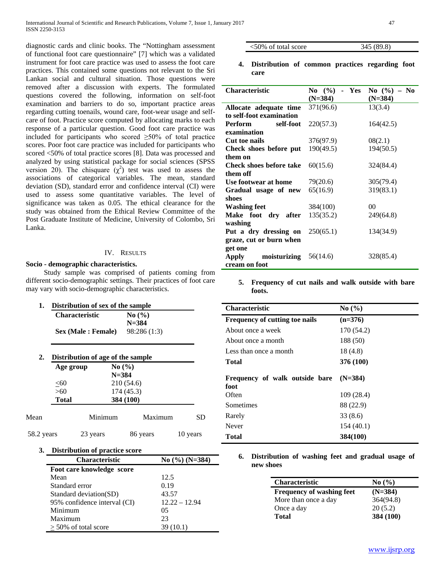diagnostic cards and clinic books. The "Nottingham assessment of functional foot care questionnaire" [7] which was a validated instrument for foot care practice was used to assess the foot care practices. This contained some questions not relevant to the Sri Lankan social and cultural situation. Those questions were removed after a discussion with experts. The formulated questions covered the following, information on self-foot examination and barriers to do so, important practice areas regarding cutting toenails, wound care, foot-wear usage and selfcare of foot. Practice score computed by allocating marks to each response of a particular question. Good foot care practice was included for participants who scored  $\geq 50\%$  of total practice scores. Poor foot care practice was included for participants who scored <50% of total practice scores [8]. Data was processed and analyzed by using statistical package for social sciences (SPSS version 20). The chisquare  $(\chi^2)$  test was used to assess the associations of categorical variables. The mean, standard deviation (SD), standard error and confidence interval (CI) were used to assess some quantitative variables. The level of significance was taken as 0.05. The ethical clearance for the study was obtained from the Ethical Review Committee of the Post Graduate Institute of Medicine, University of Colombo, Sri Lanka.

## IV. RESULTS

## **Socio - demographic characteristics.**

 Study sample was comprised of patients coming from different socio-demographic settings. Their practices of foot care may vary with socio-demographic characteristics.

| 1.         |              | Distribution of sex of the sample |              |          |
|------------|--------------|-----------------------------------|--------------|----------|
|            |              | <b>Characteristic</b>             | No(%)        |          |
|            |              |                                   | $N = 384$    |          |
|            |              | Sex (Male : Female)               | 98:286 (1:3) |          |
|            |              |                                   |              |          |
| 2.         |              | Distribution of age of the sample |              |          |
|            | Age group    |                                   | No(%)        |          |
|            |              |                                   | $N = 384$    |          |
|            | < 60         |                                   | 210 (54.6)   |          |
|            | >60          |                                   | 174 (45.3)   |          |
|            | <b>Total</b> | 384 (100)                         |              |          |
| Mean       |              | Minimum                           | Maximum      | SD       |
| 58.2 years |              | 23 years                          | 86 years     | 10 years |

**3. Distribution of practice score**

| <b>Characteristic</b>        | No $(\%)(N=384)$ |
|------------------------------|------------------|
| Foot care knowledge score    |                  |
| Mean                         | 12.5             |
| Standard error               | 0.19             |
| Standard deviation(SD)       | 43.57            |
| 95% confidence interval (CI) | $12.22 - 12.94$  |
| Minimum                      | 05               |
| Maximum                      | 23               |
| $>$ 50% of total score       | 39(10.1)         |

| $<50\%$ of total score | 345 (89.8) |
|------------------------|------------|
|                        |            |

**4. Distribution of common practices regarding foot care**

| <b>Characteristic</b>             | No $(\% )$ - Yes<br>$(N=384)$ | $\bf{No}$ (%) – $\bf{No}$<br>$(N=384)$ |
|-----------------------------------|-------------------------------|----------------------------------------|
| Allocate adequate time            | 371(96.6)                     | 13(3.4)                                |
| to self-foot examination          |                               |                                        |
| <b>Perform</b><br>self-foot       | 220(57.3)                     | 164(42.5)                              |
| examination                       |                               |                                        |
| Cut toe nails                     | 376(97.9)                     | 08(2.1)                                |
| Check shoes before put            | 190(49.5)                     | 194(50.5)                              |
| them on                           |                               |                                        |
| Check shoes before take           | 60(15.6)                      | 324(84.4)                              |
| them off                          |                               |                                        |
| Use footwear at home              | 79(20.6)                      | 305(79.4)                              |
| Gradual usage of new              | 65(16.9)                      | 319(83.1)                              |
| shoes                             |                               |                                        |
| Washing feet                      | 384(100)                      | 00                                     |
| Make foot dry after               | 135(35.2)                     | 249(64.8)                              |
| washing                           |                               |                                        |
| Put a dry dressing on $250(65.1)$ |                               | 134(34.9)                              |
| graze, cut or burn when           |                               |                                        |
| get one                           |                               |                                        |
| moisturizing $56(14.6)$<br>Apply  |                               | 328(85.4)                              |
| cream on foot                     |                               |                                        |

**5. Frequency of cut nails and walk outside with bare foots.**

| <b>Characteristic</b>                  | No(%)      |
|----------------------------------------|------------|
| Frequency of cutting toe nails         | $(n=376)$  |
| About once a week                      | 170 (54.2) |
| About once a month                     | 188 (50)   |
| Less than once a month                 | 18 (4.8)   |
| Total                                  | 376 (100)  |
| Frequency of walk outside bare<br>foot | $(N=384)$  |
| Often                                  | 109 (28.4) |
| Sometimes                              | 88 (22.9)  |
| Rarely                                 | 33 (8.6)   |
| Never                                  | 154(40.1)  |
| Total                                  | 384(100)   |
|                                        |            |

**6. Distribution of washing feet and gradual usage of new shoes**

| <b>Characteristic</b>            | No(%)     |
|----------------------------------|-----------|
| <b>Frequency of washing feet</b> | $(N=384)$ |
| More than once a day             | 364(94.8) |
| Once a day                       | 20(5.2)   |
| Total                            | 384 (100) |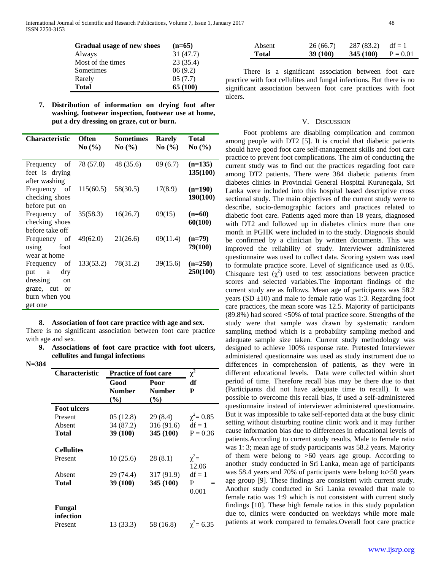| Gradual usage of new shoes | $(n=65)$ |
|----------------------------|----------|
| Always                     | 31(47.7) |
| Most of the times          | 23(35.4) |
| Sometimes                  | 06(9.2)  |
| Rarely                     | 05(7.7)  |
| <b>Total</b>               | 65 (100) |

| 7. Distribution of information on drying foot after |
|-----------------------------------------------------|
| washing, footwear inspection, footwear use at home, |
| put a dry dressing on graze, cut or burn.           |

| <b>Characteristic</b>                                        | <b>Often</b><br>No(%) | <b>Sometimes</b><br>$\mathbf{No}(\% )$ | <b>Rarely</b><br>No(%) | <b>Total</b><br>No(%) |
|--------------------------------------------------------------|-----------------------|----------------------------------------|------------------------|-----------------------|
| Frequency of<br>feet is drying<br>after washing              | 78 (57.8)             | 48 (35.6)                              | 09 (6.7)               | $(n=135)$<br>135(100) |
| Frequency of<br>checking shoes<br>before put on              | 115(60.5)             | 58(30.5)                               | 17(8.9)                | $(n=190)$<br>190(100) |
| Frequency of<br>checking shoes<br>before take off            | 35(58.3)              | 16(26.7)                               | 09(15)                 | $(n=60)$<br>60(100)   |
| Frequency of<br>using<br>foot<br>wear at home                | 49(62.0)              | 21(26.6)                               | 09(11.4)               | $(n=79)$<br>79(100)   |
| Frequency of<br>dry<br>put<br>a<br>dressing<br><sub>on</sub> | 133(53.2)             | 78(31.2)                               | 39(15.6)               | $(n=250)$<br>250(100) |
| graze, cut<br>- or<br>burn when you<br>get one               |                       |                                        |                        |                       |

#### **8. Association of foot care practice with age and sex.**

There is no significant association between foot care practice with age and sex.

**9. Associations of foot care practice with foot ulcers, cellulites and fungal infections** 

**N=384**

| <b>Characteristic</b> | Practice of foot care    | $\chi^2$                        |                   |
|-----------------------|--------------------------|---------------------------------|-------------------|
|                       | Good<br>Number<br>$(\%)$ | Poor<br><b>Number</b><br>$(\%)$ | df<br>P           |
| <b>Foot ulcers</b>    |                          |                                 |                   |
| Present               | 05 (12.8)                | 29 (8.4)                        | $\chi^2 = 0.85$   |
| Absent                | 34 (87.2)                | 316 (91.6)                      | $df = 1$          |
| Total                 | 39 (100)                 | 345 (100)                       | $P = 0.36$        |
| <b>Cellulites</b>     |                          |                                 |                   |
| Present               | 10(25.6)                 | 28 (8.1)                        | $\chi^2$ =        |
| Absent                | 29 (74.4)                | 317 (91.9)                      | 12.06<br>$df = 1$ |
| Total                 | 39 (100)                 | 345 (100)                       | P<br>0.001        |
| Fungal<br>infection   |                          |                                 |                   |
| Present               | 13 (33.3)                | 58 (16.8)                       | $\gamma^2 = 6.35$ |

| Absent | 26(66.7)        | 287 (83.2)       | $df = 1$   |
|--------|-----------------|------------------|------------|
| Total  | <b>39 (100)</b> | <b>345 (100)</b> | $P = 0.01$ |

 There is a significant association between foot care practice with foot cellulites and fungal infections. But there is no significant association between foot care practices with foot ulcers.

#### V. DISCUSSION

 Foot problems are disabling complication and common among people with DT2 [5]. It is crucial that diabetic patients should have good foot care self-management skills and foot care practice to prevent foot complications. The aim of conducting the current study was to find out the practices regarding foot care among DT2 patients. There were 384 diabetic patients from diabetes clinics in Provincial General Hospital Kurunegala, Sri Lanka were included into this hospital based descriptive cross sectional study. The main objectives of the current study were to describe, socio-demographic factors and practices related to diabetic foot care. Patients aged more than 18 years, diagnosed with DT2 and followed up in diabetes clinics more than one month in PGHK were included in to the study. Diagnosis should be confirmed by a clinician by written documents. This was improved the reliability of study. Interviewer administered questionnaire was used to collect data. Scoring system was used to formulate practice score. Level of significance used as 0.05. Chisquare test  $(\chi^2)$  used to test associations between practice scores and selected variables.The important findings of the current study are as follows. Mean age of participants was 58.2 years (SD  $\pm$ 10) and male to female ratio was 1:3. Regarding foot care practices, the mean score was 12.5. Majority of participants (89.8%) had scored <50% of total practice score. Strengths of the study were that sample was drawn by systematic random sampling method which is a probability sampling method and adequate sample size taken. Current study methodology was designed to achieve 100% response rate. Pretested Interviewer administered questionnaire was used as study instrument due to differences in comprehension of patients, as they were in different educational levels. Data were collected within short period of time. Therefore recall bias may be there due to that (Participants did not have adequate time to recall). It was possible to overcome this recall bias, if used a self-administered questionnaire instead of interviewer administered questionnaire. But it was impossible to take self-reported data at the busy clinic setting without disturbing routine clinic work and it may further cause information bias due to differences in educational levels of patients.According to current study results, Male to female ratio was 1: 3; mean age of study participants was 58.2 years. Majority of them were belong to >60 years age group. According to another study conducted in Sri Lanka, mean age of participants was 58.4 years and 70% of participants were belong to>50 years age group [9]. These findings are consistent with current study. Another study conducted in Sri Lanka revealed that male to female ratio was 1:9 which is not consistent with current study findings [10]. These high female ratios in this study population due to, clinics were conducted on weekdays while more male patients at work compared to females.Overall foot care practice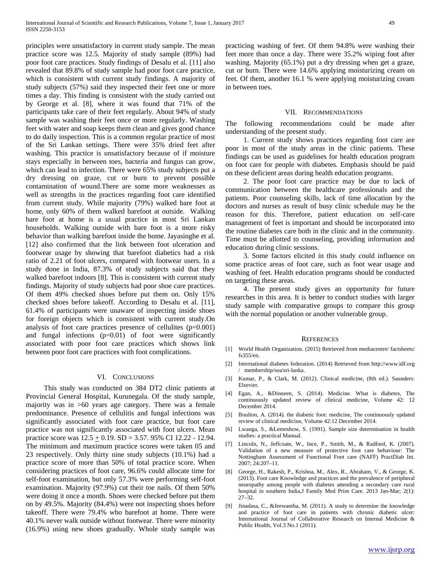principles were unsatisfactory in current study sample. The mean practice score was 12.5. Majority of study sample (89%) had poor foot care practices. Study findings of Desalu et al. [11] also revealed that 89.8% of study sample had poor foot care practice, which is consistent with current study findings. A majority of study subjects (57%) said they inspected their feet one or more times a day. This finding is consistent with the study carried out by George et al. [8], where it was found that 71% of the participants take care of their feet regularly. About 94% of study sample was washing their feet once or more regularly. Washing feet with water and soap keeps them clean and gives good chance to do daily inspection. This is a common regular practice of most of the Sri Lankan settings. There were 35% dried feet after washing. This practice is unsatisfactory because of if moisture stays especially in between toes, bacteria and fungus can grow, which can lead to infection. There were 65% study subjects put a dry dressing on graze, cut or burn to prevent possible contamination of wound.There are some more weaknesses as well as strengths in the practices regarding foot care identified from current study. While majority (79%) walked bare foot at home, only 60% of them walked barefoot at outside. Walking bare foot at home is a usual practice in most Sri Lankan households. Walking outside with bare foot is a more risky behavior than walking barefoot inside the home. Jayasinghe et al. [12] also confirmed that the link between foot ulceration and footwear usage by showing that barefoot diabetics had a risk ratio of 2.21 of foot ulcers, compared with footwear users. In a study done in India, 87.3% of study subjects said that they walked barefoot indoors [8]. This is consistent with current study findings. Majority of study subjects had poor shoe care practices. Of them 49% checked shoes before put them on. Only 15% checked shoes before takeoff. According to Desalu et al. [11], 61.4% of participants were unaware of inspecting inside shoes for foreign objects which is consistent with current study.On analysis of foot care practices presence of cellulites (p=0.001) and fungal infections (p=0.01) of foot were significantly associated with poor foot care practices which shows link between poor foot care practices with foot complications.

#### VI. CONCLUSIONS

 This study was conducted on 384 DT2 clinic patients at Provincial General Hospital, Kurunegala. Of the study sample, majority was in >60 years age category. There was a female predominance. Presence of cellulitis and fungal infections was significantly associated with foot care practice, but foot care practice was not significantly associated with foot ulcers. Mean practice score was  $12.5 \pm 0.19$ . SD = 3.57. 95% CI 12.22 - 12.94. The minimum and maximum practice scores were taken 05 and 23 respectively. Only thirty nine study subjects (10.1%) had a practice score of more than 50% of total practice score. When considering practices of foot care, 96.6% could allocate time for self-foot examination, but only 57.3% were performing self-foot examination. Majority (97.9%) cut their toe nails. Of them 50% were doing it once a month. Shoes were checked before put them on by 49.5%. Majority (84.4%) were not inspecting shoes before takeoff. There were 79.4% who barefoot at home. There were 40.1% never walk outside without footwear. There were minority (16.9%) using new shoes gradually. Whole study sample was practicing washing of feet. Of them 94.8% were washing their feet more than once a day. There were 35.2% wiping foot after washing. Majority (65.1%) put a dry dressing when get a graze, cut or burn. There were 14.6% applying moisturizing cream on feet. Of them, another 16.1 % were applying moisturizing cream in between toes.

#### VII. RECOMMENDATIONS

The following recommendations could be made after understanding of the present study.

 1. Current study shows practices regarding foot care are poor in most of the study areas in the clinic patients. These findings can be used as guidelines for health education program on foot care for people with diabetes. Emphasis should be paid on these deficient areas during health education programs.

 2. The poor foot care practice may be due to lack of communication between the healthcare professionals and the patients. Poor counseling skills, lack of time allocation by the doctors and nurses as result of busy clinic schedule may be the reason for this. Therefore, patient education on self-care management of feet is important and should be incorporated into the routine diabetes care both in the clinic and in the community. Time must be allotted to counseling, providing information and education during clinic sessions.

 3. Some factors elicited in this study could influence on some practice areas of foot care, such as foot wear usage and washing of feet. Health education programs should be conducted on targeting these areas.

 4. The present study gives an opportunity for future researches in this area. It is better to conduct studies with larger study sample with comparative groups to compare this group with the normal population or another vulnerable group.

#### **REFERENCES**

- [1] World Health Organization. (2015) Retrieved from mediacentre/ factsheets/ fs355/en.
- [2] International diabetes federation. (2014) Retrieved from http://www.idf.org / membership/sea/sri-lanka.
- [3] Kumar, P., & Clark, M. (2012). Clinical medicine, (8th ed.). Saunders: Elsevier.
- [4] Egan, A., &Dinneen, S. (2014). Medicine. What is diabetes, The continuously updated review of clinical medicine, Volume 42: 12 December 2014.
- [5] Boulton, A. (2014). the diabetic foot: medicine, The continuously updated review of clinical medicine, Volume 42:12 December 2014.
- [6] Lwanga, S., &Lemeshow, S. (1991). Sample size determination in health studies: a practical Manual.
- [7] Lincoln, N., Jeffcoate, W., Ince, P., Smith, M., & Radford, K. (2007). Validation of a new measure of protective foot care behaviour: The Nottingham Assessment of Functional Foot care (NAFF) PractDiab Int. 2007; 24:207–11.
- [8] George, H., Rakesh, P., Krishna, M., Alex, R., Abraham, V., & George, K. (2013). Foot care Knowledge and practices and the prevalence of peripheral neuropathy among people with diabetes attending a secondary care rural hospital in southern India,J Family Med Prim Care. 2013 Jan-Mar; 2(1): 27–32.
- [9] Jinadasa, C., &Jeewantha, M. (2011). A study to determine the knowledge and practice of foot care in patients with chronic diabetic ulcer: International Journal of Collaborative Research on Internal Medicine & Public Health, Vol.3 No.1 (2011).